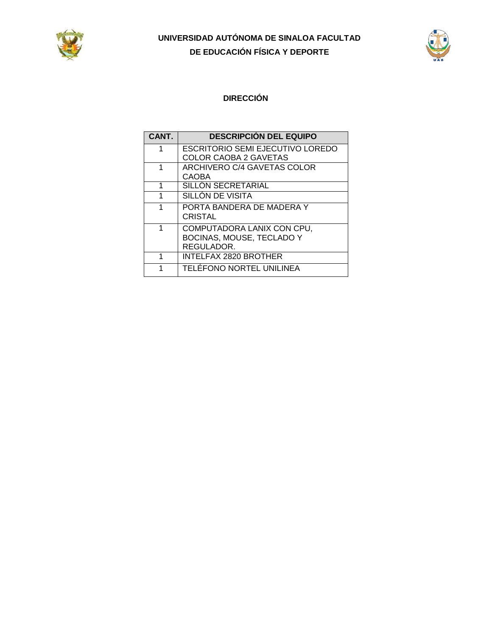



### **DIRECCIÓN**

| CANT. | <b>DESCRIPCIÓN DEL EQUIPO</b>                                         |
|-------|-----------------------------------------------------------------------|
| 1     | <b>ESCRITORIO SEMI EJECUTIVO LOREDO</b><br>COLOR CAOBA 2 GAVETAS      |
| 1     | ARCHIVERO C/4 GAVETAS COLOR<br><b>CAOBA</b>                           |
| 1     | <b>SILLON SECRETARIAL</b>                                             |
| 1     | SILLÓN DE VISITA                                                      |
| 1     | PORTA BANDERA DE MADERA Y<br><b>CRISTAL</b>                           |
| 1     | COMPUTADORA LANIX CON CPU,<br>BOCINAS, MOUSE, TECLADO Y<br>REGULADOR. |
| 1     | <b>INTELFAX 2820 BROTHER</b>                                          |
| 1     | TELÉFONO NORTEL UNILINEA                                              |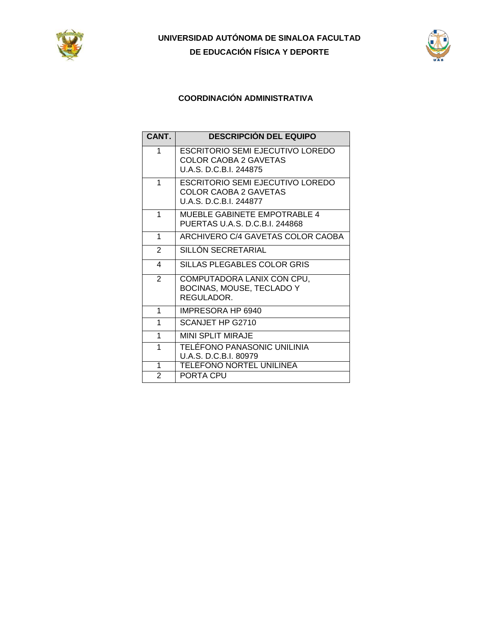



### **COORDINACIÓN ADMINISTRATIVA**

| CANT.          | <b>DESCRIPCIÓN DEL EQUIPO</b>                                                                     |
|----------------|---------------------------------------------------------------------------------------------------|
| 1              | ESCRITORIO SEMI EJECUTIVO LOREDO<br><b>COLOR CAOBA 2 GAVETAS</b><br>U.A.S. D.C.B.I. 244875        |
| 1              | <b>ESCRITORIO SEMI EJECUTIVO LOREDO</b><br><b>COLOR CAOBA 2 GAVETAS</b><br>U.A.S. D.C.B.I. 244877 |
| 1              | MUEBLE GABINETE EMPOTRABLE 4<br>PUERTAS U.A.S. D.C.B.I. 244868                                    |
| 1              | ARCHIVERO C/4 GAVETAS COLOR CAOBA                                                                 |
| 2              | SILLÓN SECRETARIAL                                                                                |
| 4              | SILLAS PLEGABLES COLOR GRIS                                                                       |
| $\overline{2}$ | COMPUTADORA LANIX CON CPU,<br>BOCINAS, MOUSE, TECLADO Y<br>REGULADOR.                             |
| 1              | IMPRESORA HP 6940                                                                                 |
| 1              | SCANJET HP G2710                                                                                  |
| 1              | <b>MINI SPLIT MIRAJE</b>                                                                          |
| 1              | TELÉFONO PANASONIC UNILINIA<br>U.A.S. D.C.B.I. 80979                                              |
| 1              | <b>TELÉFONO NORTEL UNILINEA</b>                                                                   |
| $\overline{2}$ | PORTA CPU                                                                                         |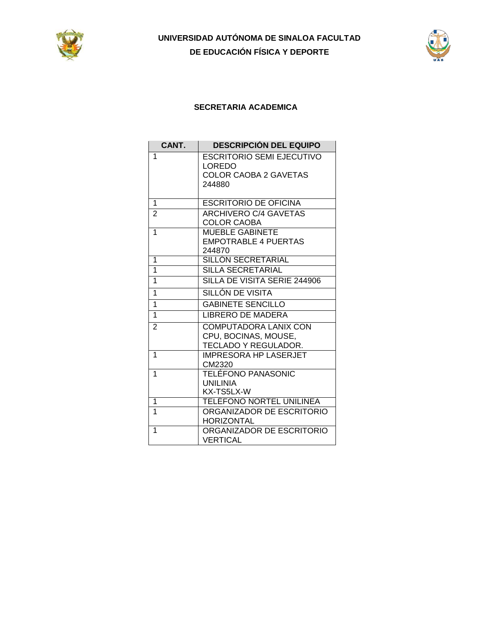



#### **SECRETARIA ACADEMICA**

| CANT.          | <b>DESCRIPCIÓN DEL EQUIPO</b> |
|----------------|-------------------------------|
| 1              | ESCRITORIO SEMI EJECUTIVO     |
|                | <b>LOREDO</b>                 |
|                | <b>COLOR CAOBA 2 GAVETAS</b>  |
|                | 244880                        |
| 1              | <b>ESCRITORIO DE OFICINA</b>  |
|                |                               |
| $\overline{2}$ | <b>ARCHIVERO C/4 GAVETAS</b>  |
| 1              | <b>COLOR CAOBA</b>            |
|                | <b>MUEBLE GABINETE</b>        |
|                | <b>EMPOTRABLE 4 PUERTAS</b>   |
| 1              | 244870<br>SILLÓN SECRETARIAL  |
| 1              | SILLA SECRETARIAL             |
| 1              | SILLA DE VISITA SERIE 244906  |
|                |                               |
| 1              | SILLÓN DE VISITA              |
| 1              | <b>GABINETE SENCILLO</b>      |
| 1              | LIBRERO DE MADERA             |
| 2              | <b>COMPUTADORA LANIX CON</b>  |
|                | CPU, BOCINAS, MOUSE,          |
|                | TECLADO Y REGULADOR.          |
| 1              | <b>IMPRESORA HP LASERJET</b>  |
|                | CM2320                        |
| 1              | TELÉFONO PANASONIC            |
|                | <b>UNILINIA</b>               |
|                | KX-TS5LX-W                    |
| 1              | TELÉFONO NORTEL UNILINEA      |
| 1              | ORGANIZADOR DE ESCRITORIO     |
|                | <b>HORIZONTAL</b>             |
| 1              | ORGANIZADOR DE ESCRITORIO     |
|                | VERTICAL                      |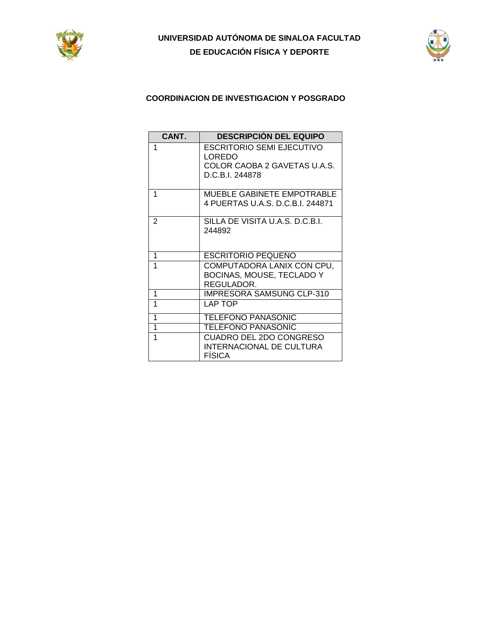



### **COORDINACION DE INVESTIGACION Y POSGRADO**

| CANT. | <b>DESCRIPCIÓN DEL EQUIPO</b>                                                                 |
|-------|-----------------------------------------------------------------------------------------------|
| 1     | <b>ESCRITORIO SEMI EJECUTIVO</b><br>LOREDO<br>COLOR CAOBA 2 GAVETAS U.A.S.<br>D.C.B.I. 244878 |
| 1     | <b>MUEBLE GABINETE EMPOTRABLE</b><br>4 PUERTAS U.A.S. D.C.B.I. 244871                         |
| 2     | SILLA DE VISITA U.A.S. D.C.B.I.<br>244892                                                     |
| 1     | <b>ESCRITORIO PEQUEÑO</b>                                                                     |
| 1     | COMPUTADORA LANIX CON CPU,<br>BOCINAS, MOUSE, TECLADO Y<br>REGULADOR.                         |
| 1     | <b>IMPRESORA SAMSUNG CLP-310</b>                                                              |
| 1     | LAP TOP                                                                                       |
| 1     | <b>TELEFONO PANASONIC</b>                                                                     |
| 1     | TELEFONO PANASONIC                                                                            |
| 1     | CUADRO DEL 2DO CONGRESO<br>INTERNACIONAL DE CULTURA<br><b>FÍSICA</b>                          |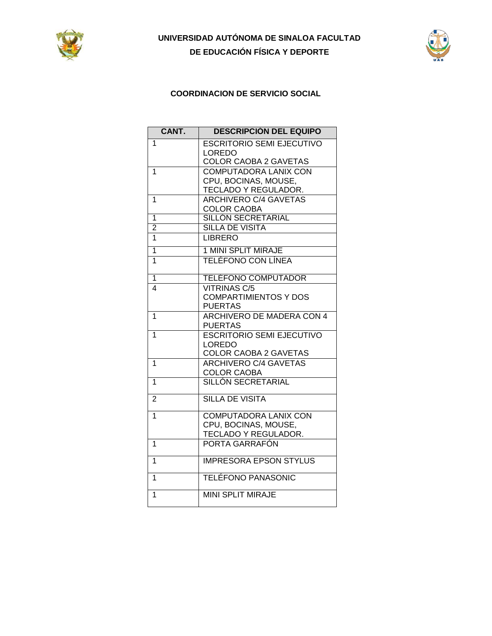



### **COORDINACION DE SERVICIO SOCIAL**

| CANT.                   | <b>DESCRIPCIÓN DEL EQUIPO</b>    |
|-------------------------|----------------------------------|
| 1                       | <b>ESCRITORIO SEMI EJECUTIVO</b> |
|                         | <b>LOREDO</b>                    |
|                         | <b>COLOR CAOBA 2 GAVETAS</b>     |
| 1                       | <b>COMPUTADORA LANIX CON</b>     |
|                         | CPU, BOCINAS, MOUSE,             |
|                         | TECLADO Y REGULADOR.             |
| 1                       | <b>ARCHIVERO C/4 GAVETAS</b>     |
|                         | <b>COLOR CAOBA</b>               |
| $\overline{1}$          | <b>SILLÓN SECRETARIAL</b>        |
| $\overline{2}$          | <b>SILLA DE VISITA</b>           |
| 1                       | <b>LIBRERO</b>                   |
| $\overline{1}$          | <b>1 MINI SPLIT MIRAJE</b>       |
| 1                       | TELÉFONO CON LÍNEA               |
| 1                       | <b>TELEFONO COMPUTADOR</b>       |
| $\overline{\mathbf{4}}$ | <b>VITRINAS C/5</b>              |
|                         | <b>COMPARTIMIENTOS Y DOS</b>     |
|                         | <b>PUERTAS</b>                   |
| $\overline{1}$          | ARCHIVERO DE MADERA CON 4        |
|                         | <b>PUERTAS</b>                   |
| $\overline{1}$          | <b>ESCRITORIO SEMI EJECUTIVO</b> |
|                         | <b>LOREDO</b>                    |
|                         | COLOR CAOBA 2 GAVETAS            |
| 1                       | <b>ARCHIVERO C/4 GAVETAS</b>     |
|                         | <b>COLOR CAOBA</b>               |
| 1                       | SILLÓN SECRETARIAL               |
| $\overline{2}$          | <b>SILLA DE VISITA</b>           |
|                         |                                  |
| $\overline{1}$          | COMPUTADORA LANIX CON            |
|                         | CPU, BOCINAS, MOUSE,             |
|                         | TECLADO Y REGULADOR.             |
| 1                       | PORTA GARRAFÓN                   |
| $\overline{1}$          | <b>IMPRESORA EPSON STYLUS</b>    |
| 1                       | <b>TELÉFONO PANASONIC</b>        |
|                         |                                  |
| 1                       | <b>MINI SPLIT MIRAJE</b>         |
|                         |                                  |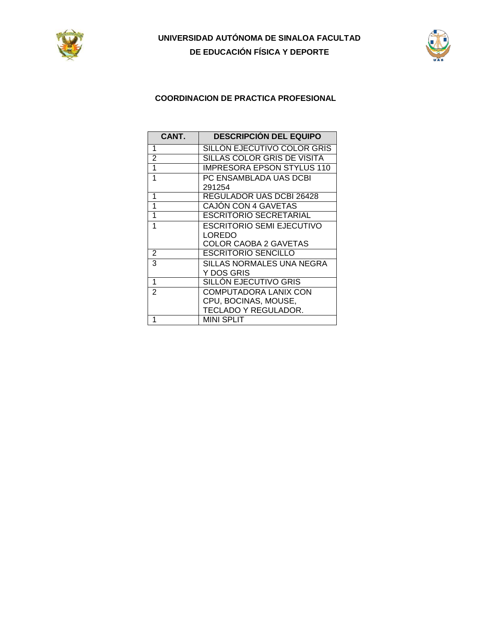



### **COORDINACION DE PRACTICA PROFESIONAL**

| CANT.          | <b>DESCRIPCIÓN DEL EQUIPO</b> |
|----------------|-------------------------------|
| 1              | SILLON EJECUTIVO COLOR GRIS   |
| 2              | SILLAS COLOR GRIS DE VISITA   |
| 1              | IMPRESORA EPSON STYLUS 110    |
| 1              | PC ENSAMBLADA UAS DCBI        |
|                | 291254                        |
| 1              | REGULADOR UAS DCBI 26428      |
| 1              | <b>CAJON CON 4 GAVETAS</b>    |
| 1              | <b>ESCRITORIO SECRETARIAL</b> |
| 1              | ESCRITORIO SEMI EJECUTIVO     |
|                | LOREDO                        |
|                | COLOR CAOBA 2 GAVETAS         |
| 2              | ESCRITORIO SENCILLO           |
| 3              | SILLAS NORMALES UNA NEGRA     |
|                | Y DOS GRIS                    |
| 1              | SILLON EJECUTIVO GRIS         |
| $\overline{2}$ | COMPUTADORA LANIX CON         |
|                | CPU, BOCINAS, MOUSE,          |
|                | TECLADO Y REGULADOR.          |
| 1              | MINI SPLIT                    |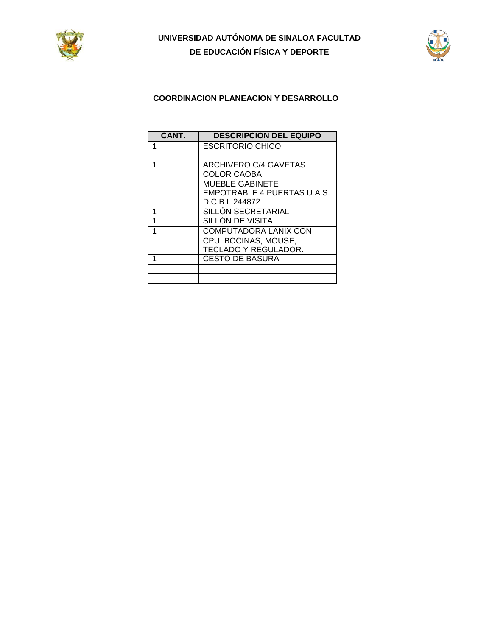



### **COORDINACION PLANEACION Y DESARROLLO**

| CANT. | <b>DESCRIPCION DEL EQUIPO</b> |
|-------|-------------------------------|
|       | <b>ESCRITORIO CHICO</b>       |
|       |                               |
|       | <b>ARCHIVERO C/4 GAVETAS</b>  |
|       | <b>COLOR CAOBA</b>            |
|       | MUEBLE GABINETE               |
|       | EMPOTRABLE 4 PUERTAS U.A.S.   |
|       | D.C.B.I. 244872               |
|       | SILLON SECRETARIAL            |
|       | SILLÓN DE VISITA              |
|       | <b>COMPUTADORA LANIX CON</b>  |
|       | CPU, BOCINAS, MOUSE,          |
|       | TECLADO Y REGULADOR.          |
|       | <b>CESTO DE BASURA</b>        |
|       |                               |
|       |                               |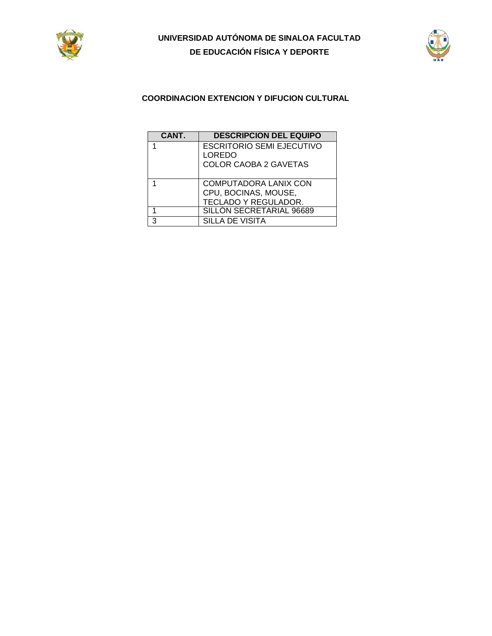



### **COORDINACION EXTENCION Y DIFUCION CULTURAL**

| CANT. | <b>DESCRIPCION DEL EQUIPO</b>                                              |
|-------|----------------------------------------------------------------------------|
|       | <b>ESCRITORIO SEMI EJECUTIVO</b><br>LOREDO<br><b>COLOR CAOBA 2 GAVETAS</b> |
|       | COMPUTADORA LANIX CON<br>CPU, BOCINAS, MOUSE,<br>TECLADO Y REGULADOR.      |
|       | SILLON SECRETARIAL 96689                                                   |
| າ     | <b>SILLA DE VISITA</b>                                                     |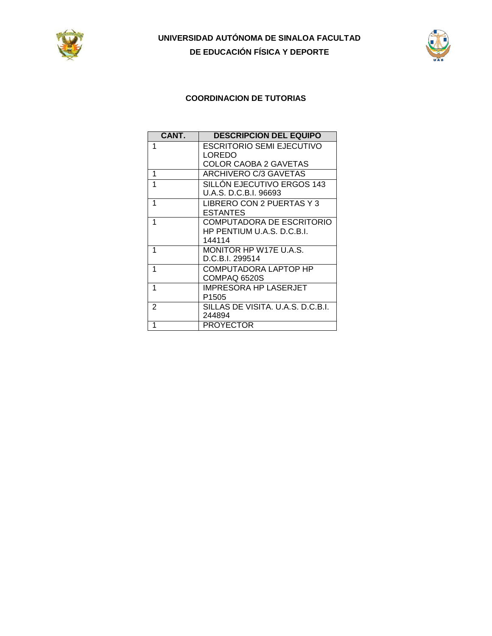



### **COORDINACION DE TUTORIAS**

| CANT. | <b>DESCRIPCION DEL EQUIPO</b>     |
|-------|-----------------------------------|
| 1     | ESCRITORIO SEMI EJECUTIVO         |
|       | LOREDO                            |
|       | COLOR CAOBA 2 GAVETAS             |
| 1     | ARCHIVERO C/3 GAVETAS             |
| 1     | SILLÓN EJECUTIVO ERGOS 143        |
|       | U.A.S. D.C.B.I. 96693             |
| 1     | LIBRERO CON 2 PUERTAS Y 3         |
|       | <b>ESTANTES</b>                   |
| 1     | COMPUTADORA DE ESCRITORIO         |
|       | HP PENTIUM U.A.S. D.C.B.I.        |
|       | 144114                            |
| 1     | MONITOR HP W17E U.A.S.            |
|       | D.C.B.I. 299514                   |
| 1     | COMPUTADORA LAPTOP HP             |
|       | COMPAQ 6520S                      |
| 1     | IMPRESORA HP LASERJET             |
|       | P <sub>1505</sub>                 |
| 2     | SILLAS DE VISITA. U.A.S. D.C.B.I. |
|       | 244894                            |
| 1     | <b>PROYECTOR</b>                  |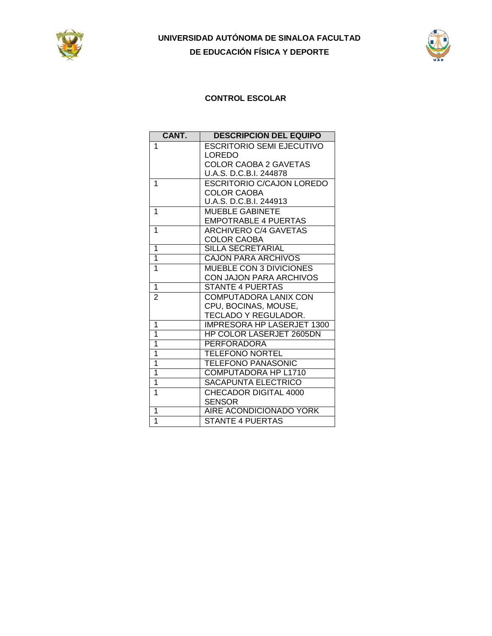



## **CONTROL ESCOLAR**

| CANT.          | <b>DESCRIPCIÓN DEL EQUIPO</b>     |
|----------------|-----------------------------------|
| 1              | <b>ESCRITORIO SEMI EJECUTIVO</b>  |
|                | LOREDO                            |
|                | <b>COLOR CAOBA 2 GAVETAS</b>      |
|                | U.A.S. D.C.B.I. 244878            |
| 1              | ESCRITORIO C/CAJON LOREDO         |
|                | <b>COLOR CAOBA</b>                |
|                | U.A.S. D.C.B.I. 244913            |
| 1              | <b>MUEBLE GABINETE</b>            |
|                | <b>EMPOTRABLE 4 PUERTAS</b>       |
| 1              | ARCHIVERO C/4 GAVETAS             |
|                | <b>COLOR CAOBA</b>                |
| $\overline{1}$ | <b>SILLA SECRETARIAL</b>          |
| $\overline{1}$ | <b>CAJON PARA ARCHIVOS</b>        |
| 1              | MUEBLE CON 3 DIVICIONES           |
|                | <b>CON JAJON PARA ARCHIVOS</b>    |
| 1              | <b>STANTE 4 PUERTAS</b>           |
| $\overline{2}$ | <b>COMPUTADORA LANIX CON</b>      |
|                | CPU, BOCINAS, MOUSE,              |
|                | TECLADO Y REGULADOR.              |
| 1              | <b>IMPRESORA HP LASERJET 1300</b> |
| $\overline{1}$ | <b>HP COLOR LASERJET 2605DN</b>   |
| $\overline{1}$ | <b>PERFORADORA</b>                |
| $\overline{1}$ | <b>TELEFONO NORTEL</b>            |
| $\overline{1}$ | <b>TELEFONO PANASONIC</b>         |
| $\overline{1}$ | COMPUTADORA HP L1710              |
| $\overline{1}$ | <b>SACAPUNTA ELECTRICO</b>        |
| 1              | CHECADOR DIGITAL 4000             |
|                | <b>SENSOR</b>                     |
| 1              | AIRE ACONDICIONADO YORK           |
| $\overline{1}$ | STANTE 4 PUERTAS                  |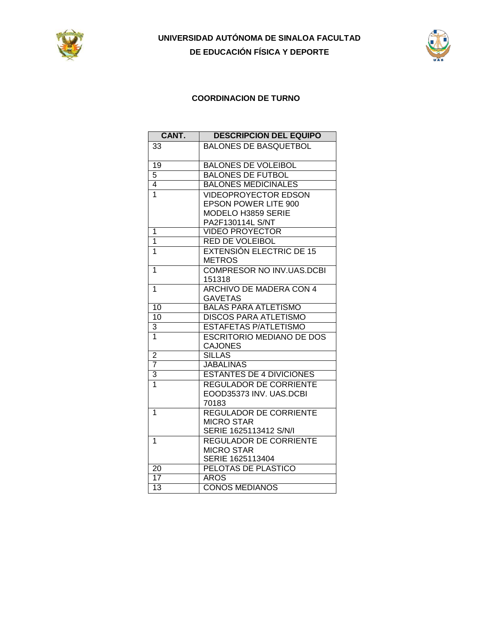



### **COORDINACION DE TURNO**

| CANT.           | <b>DESCRIPCIÓN DEL EQUIPO</b>    |
|-----------------|----------------------------------|
| 33              | <b>BALONES DE BASQUETBOL</b>     |
|                 |                                  |
| 19              | <b>BALONES DE VOLEIBOL</b>       |
| $\overline{5}$  | <b>BALONES DE FUTBOL</b>         |
| $\overline{4}$  | <b>BALONES MEDICINALES</b>       |
| $\overline{1}$  | <b>VIDEOPROYECTOR EDSON</b>      |
|                 | <b>EPSON POWER LITE 900</b>      |
|                 | MODELO H3859 SERIE               |
|                 | PA2F130114L S/NT                 |
| 1               | <b>VIDEO PROYECTOR</b>           |
| $\overline{1}$  | <b>RED DE VOLEIBOL</b>           |
| 1               | <b>EXTENSIÓN ELECTRIC DE 15</b>  |
|                 | <b>METROS</b>                    |
| 1               | <b>COMPRESOR NO INV.UAS.DCBI</b> |
|                 | 151318                           |
| 1               | <b>ARCHIVO DE MADERA CON 4</b>   |
|                 | <b>GAVETAS</b>                   |
| 10              | <b>BALAS PARA ATLETISMO</b>      |
| 10              | <b>DISCOS PARA ATLETISMO</b>     |
| 3               | <b>ESTAFETAS P/ATLETISMO</b>     |
| $\overline{1}$  | <b>ESCRITORIO MEDIANO DE DOS</b> |
|                 | <b>CAJONES</b>                   |
| $\overline{c}$  | <b>SILLAS</b>                    |
| $\overline{7}$  | <b>JABALINAS</b>                 |
| 3               | <b>ESTANTES DE 4 DIVICIONES</b>  |
| $\overline{1}$  | <b>REGULADOR DE CORRIENTE</b>    |
|                 | EOOD35373 INV. UAS.DCBI          |
|                 | 70183                            |
| 1               | <b>REGULADOR DE CORRIENTE</b>    |
|                 | <b>MICRO STAR</b>                |
|                 | SERIE 1625113412 S/N/I           |
| 1               | <b>REGULADOR DE CORRIENTE</b>    |
|                 | <b>MICRO STAR</b>                |
|                 | SERIE 1625113404                 |
| $\overline{20}$ | PELOTAS DE PLASTICO              |
| $\overline{17}$ | <b>AROS</b>                      |
| $\overline{13}$ | <b>CONOS MEDIANOS</b>            |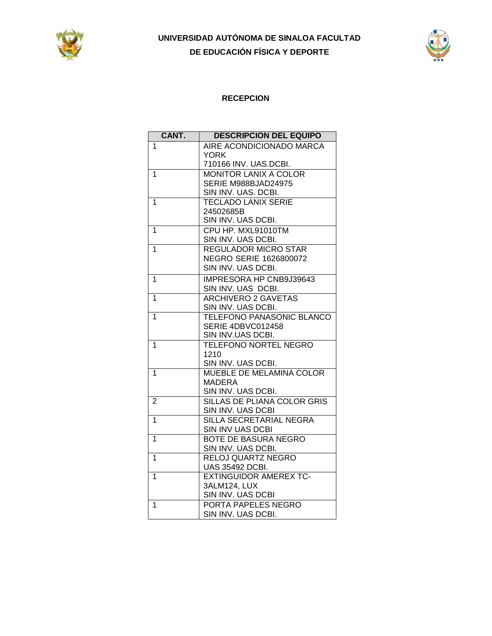



### **RECEPCION**

| CANT.          | <b>DESCRIPCIÓN DEL EQUIPO</b>                           |
|----------------|---------------------------------------------------------|
| 1              | AIRE ACONDICIONADO MARCA                                |
|                | <b>YORK</b>                                             |
|                | 710166 INV. UAS.DCBI.                                   |
| 1              | <b>MONITOR LANIX A COLOR</b>                            |
|                | SERIE M988BJAD24975                                     |
|                | SIN INV. UAS. DCBI.                                     |
| 1              | <b>TECLADO LANIX SERIE</b>                              |
|                | 24502685B                                               |
|                | SIN INV. UAS DCBI.                                      |
| 1              | CPU HP. MXL91010TM                                      |
|                | SIN INV. UAS DCBI.                                      |
| 1              | <b>REGULADOR MICRO STAR</b>                             |
|                | <b>NEGRO SERIE 1626800072</b>                           |
|                | SIN INV. UAS DCBI.                                      |
| 1              | IMPRESORA HP CNB9J39643                                 |
|                | SIN INV. UAS DCBI.                                      |
| 1              | <b>ARCHIVERO 2 GAVETAS</b>                              |
|                | SIN INV. UAS DCBI.                                      |
| 1              | <b>TELEFONO PANASONIC BLANCO</b>                        |
|                | SERIE 4DBVC012458                                       |
|                | SIN INV.UAS DCBI.                                       |
| 1              | <b>TELEFONO NORTEL NEGRO</b>                            |
|                | 1210                                                    |
|                | SIN INV. UAS DCBI.                                      |
| 1              | MUEBLE DE MELAMINA COLOR                                |
|                | MADERA                                                  |
|                | SIN INV. UAS DCBI.                                      |
| $\overline{2}$ | SILLAS DE PLIANA COLOR GRIS                             |
|                | SIN INV. UAS DCBI                                       |
| 1              | SILLA SECRETARIAL NEGRA                                 |
|                | SIN INV UAS DCBI                                        |
| 1              | BOTE DE BASURA NEGRO                                    |
|                | SIN INV. UAS DCBI.                                      |
| 1              | RELOJ QUARTZ NEGRO                                      |
| 1              | <b>UAS 35492 DCBI.</b><br><b>EXTINGUIDOR AMEREX TC-</b> |
|                | 3ALM124, LUX                                            |
|                | SIN INV. UAS DCBI                                       |
| 1              | PORTA PAPELES NEGRO                                     |
|                | SIN INV. UAS DCBI.                                      |
|                |                                                         |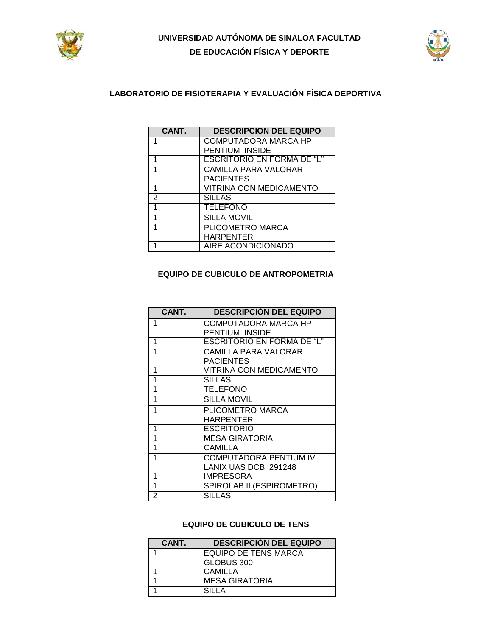



### **LABORATORIO DE FISIOTERAPIA Y EVALUACIÓN FÍSICA DEPORTIVA**

| CANT.          | <b>DESCRIPCION DEL EQUIPO</b>     |
|----------------|-----------------------------------|
| 1              | COMPUTADORA MARCA HP              |
|                | PENTIUM INSIDE                    |
| 1              | <b>ESCRITORIO EN FORMA DE "L"</b> |
|                | <b>CAMILLA PARA VALORAR</b>       |
|                | <b>PACIENTES</b>                  |
| 1              | <b>VITRINA CON MEDICAMENTO</b>    |
| $\overline{2}$ | <b>SILLAS</b>                     |
| 1              | <b>TELEFONO</b>                   |
| 1              | <b>SILLA MOVIL</b>                |
| 1              | PLICOMETRO MARCA                  |
|                | <b>HARPENTER</b>                  |
|                | AIRE ACONDICIONADO                |

#### **EQUIPO DE CUBICULO DE ANTROPOMETRIA**

| CANT. | <b>DESCRIPCIÓN DEL EQUIPO</b>     |
|-------|-----------------------------------|
| 1     | COMPUTADORA MARCA HP              |
|       | PENTIUM INSIDE                    |
| 1     | <b>ESCRITORIO EN FORMA DE "L"</b> |
| 1     | CAMILLA PARA VALORAR              |
|       | <b>PACIENTES</b>                  |
| 1     | <b>VITRINA CON MEDICAMENTO</b>    |
| 1     | <b>SILLAS</b>                     |
| 1     | <b>TELEFONO</b>                   |
| 1     | <b>SILLA MOVIL</b>                |
| 1     | PLICOMETRO MARCA                  |
|       | <b>HARPENTER</b>                  |
| 1     | <b>ESCRITORIO</b>                 |
| 1     | <b>MESA GIRATORIA</b>             |
| 1     | CAMILLA                           |
| 1     | <b>COMPUTADORA PENTIUM IV</b>     |
|       | LANIX UAS DCBI 291248             |
| 1     | <b>IMPRESORA</b>                  |
| 1     | SPIROLAB II (ESPIROMETRO)         |
| 2     | <b>SILLAS</b>                     |

#### **EQUIPO DE CUBICULO DE TENS**

| CANT. | <b>DESCRIPCIÓN DEL EQUIPO</b> |
|-------|-------------------------------|
|       | <b>EQUIPO DE TENS MARCA</b>   |
|       | GLOBUS 300                    |
|       | CAMILLA                       |
|       | <b>MESA GIRATORIA</b>         |
|       | SILLA                         |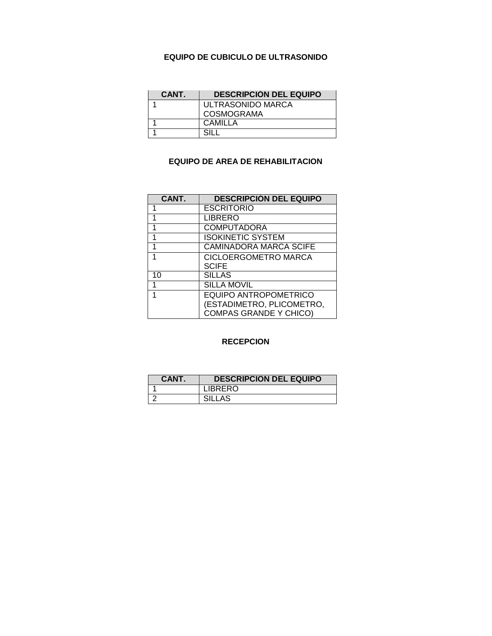#### **EQUIPO DE CUBICULO DE ULTRASONIDO**

| CANT. | <b>DESCRIPCION DEL EQUIPO</b> |
|-------|-------------------------------|
|       | ULTRASONIDO MARCA             |
|       | <b>COSMOGRAMA</b>             |
|       | CAMILLA                       |
|       | SIL I                         |

### **EQUIPO DE AREA DE REHABILITACION**

| CANT. | <b>DESCRIPCIÓN DEL EQUIPO</b>                                                              |
|-------|--------------------------------------------------------------------------------------------|
| 1     | <b>ESCRITORIO</b>                                                                          |
| 1     | <b>LIBRERO</b>                                                                             |
| 1     | <b>COMPUTADORA</b>                                                                         |
| 1     | <b>ISOKINETIC SYSTEM</b>                                                                   |
| 1     | <b>CAMINADORA MARCA SCIFE</b>                                                              |
| 1     | CICLOERGOMETRO MARCA                                                                       |
|       | <b>SCIFE</b>                                                                               |
| 10    | <b>SILLAS</b>                                                                              |
| 1     | <b>SILLA MOVIL</b>                                                                         |
| 1     | <b>EQUIPO ANTROPOMETRICO</b><br>(ESTADIMETRO, PLICOMETRO,<br><b>COMPAS GRANDE Y CHICO)</b> |

#### **RECEPCION**

| <b>CANT.</b> | <b>DESCRIPCIÓN DEL EQUIPO</b> |
|--------------|-------------------------------|
|              | <b>LIBRERO</b>                |
|              | SILLAS                        |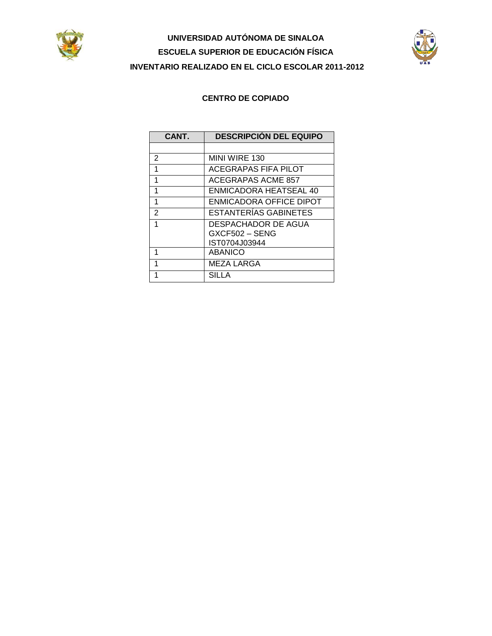



### **CENTRO DE COPIADO**

| CANT. | <b>DESCRIPCIÓN DEL EQUIPO</b> |
|-------|-------------------------------|
|       |                               |
| 2     | MINI WIRE 130                 |
| 1     | ACEGRAPAS FIFA PILOT          |
| 1     | <b>ACEGRAPAS ACME 857</b>     |
| 1     | ENMICADORA HEATSEAL 40        |
| 1     | ENMICADORA OFFICE DIPOT       |
| 2     | <b>ESTANTERIAS GABINETES</b>  |
| 1     | DESPACHADOR DE AGUA           |
|       | GXCF502 - SENG                |
|       | IST0704J03944                 |
| 1     | <b>ABANICO</b>                |
| 1     | <b>MEZA LARGA</b>             |
|       | SILLA                         |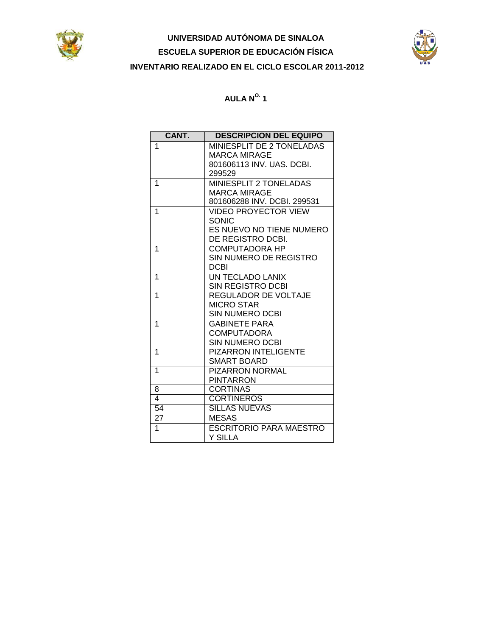



| CANT.           | <b>DESCRIPCIÓN DEL EQUIPO</b>       |
|-----------------|-------------------------------------|
| 1               | MINIESPLIT DE 2 TONELADAS           |
|                 | <b>MARCA MIRAGE</b>                 |
|                 | 801606113 INV, UAS, DCBI,           |
|                 | 299529                              |
| 1               | MINIESPLIT 2 TONELADAS              |
|                 | <b>MARCA MIRAGE</b>                 |
|                 | 801606288 INV. DCBI. 299531         |
| 1               | <b>VIDEO PROYECTOR VIEW</b>         |
|                 | <b>SONIC</b>                        |
|                 | ES NUEVO NO TIENE NUMERO            |
|                 | DE REGISTRO DCBI.                   |
| 1               | COMPUTADORA HP                      |
|                 | SIN NUMERO DE REGISTRO              |
|                 | <b>DCBI</b>                         |
| 1               | UN TECLADO LANIX                    |
|                 | <b>SIN REGISTRO DCBI</b>            |
| 1               | <b>REGULADOR DE VOLTAJE</b>         |
|                 | <b>MICRO STAR</b>                   |
|                 | <b>SIN NUMERO DCBI</b>              |
| 1               | <b>GABINETE PARA</b>                |
|                 | <b>COMPUTADORA</b>                  |
|                 | SIN NUMERO DCBI                     |
| 1               | <b>PIZARRON INTELIGENTE</b>         |
| 1               | <b>SMART BOARD</b>                  |
|                 | <b>PIZARRON NORMAL</b>              |
|                 | <b>PINTARRON</b><br><b>CORTINAS</b> |
| 8<br>4          | <b>CORTINEROS</b>                   |
| 54              | <b>SILLAS NUEVAS</b>                |
|                 |                                     |
| $\overline{27}$ | <b>MESAS</b>                        |
| 1               | ESCRITORIO PARA MAESTRO             |
|                 | Y SILLA                             |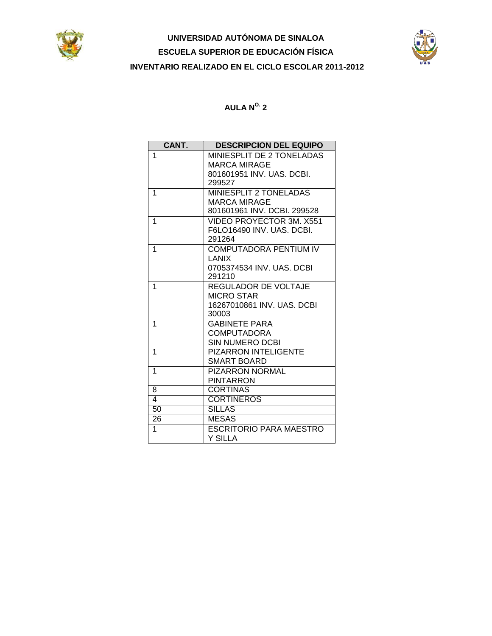



| CANT. | <b>DESCRIPCIÓN DEL EQUIPO</b>       |
|-------|-------------------------------------|
| 1     | MINIESPLIT DE 2 TONELADAS           |
|       | <b>MARCA MIRAGE</b>                 |
|       | 801601951 INV. UAS. DCBI.           |
|       | 299527                              |
| 1     | <b>MINIESPLIT 2 TONELADAS</b>       |
|       | <b>MARCA MIRAGE</b>                 |
|       | 801601961 INV. DCBI. 299528         |
| 1     | VIDEO PROYECTOR 3M, X551            |
|       | F6LO16490 INV. UAS. DCBI.           |
|       | 291264                              |
| 1     | <b>COMPUTADORA PENTIUM IV</b>       |
|       | LANIX                               |
|       | 0705374534 INV. UAS. DCBI           |
|       | 291210                              |
| 1     | REGULADOR DE VOLTAJE                |
|       | <b>MICRO STAR</b>                   |
|       | 16267010861 INV. UAS. DCBI<br>30003 |
| 1     | <b>GABINETE PARA</b>                |
|       | <b>COMPUTADORA</b>                  |
|       | SIN NUMERO DCBI                     |
| 1     | <b>PIZARRON INTELIGENTE</b>         |
|       | <b>SMART BOARD</b>                  |
| 1     | PIZARRON NORMAL                     |
|       | <b>PINTARRON</b>                    |
| 8     | <b>CORTINAS</b>                     |
| 4     | <b>CORTINEROS</b>                   |
| 50    | <b>SILLAS</b>                       |
| 26    | <b>MESAS</b>                        |
|       |                                     |
| 1     | <b>ESCRITORIO PARA MAESTRO</b>      |
|       | <b>Y SILLA</b>                      |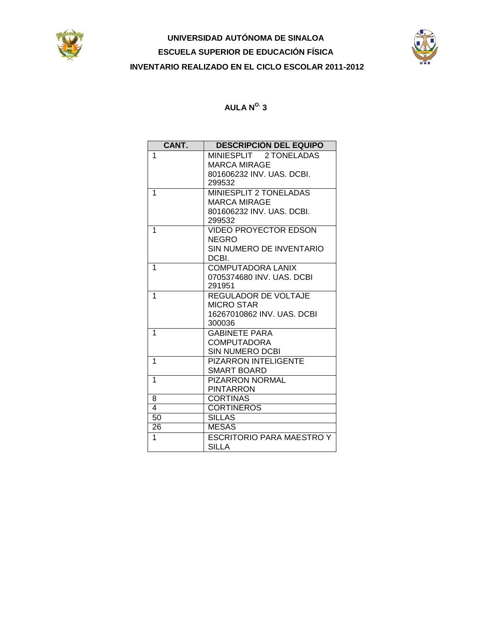



| CANT. | <b>DESCRIPCIÓN DEL EQUIPO</b>                    |
|-------|--------------------------------------------------|
| 1     | MINIESPLIT 2 TONELADAS                           |
|       | <b>MARCA MIRAGE</b>                              |
|       | 801606232 INV. UAS. DCBI.                        |
|       | 299532                                           |
| 1     | MINIESPLIT 2 TONELADAS                           |
|       | <b>MARCA MIRAGE</b><br>801606232 INV. UAS. DCBI. |
|       | 299532                                           |
| 1     | <b>VIDEO PROYECTOR EDSON</b>                     |
|       | <b>NEGRO</b>                                     |
|       | SIN NUMERO DE INVENTARIO                         |
|       | DCBI.                                            |
| 1     | <b>COMPUTADORA LANIX</b>                         |
|       | 0705374680 INV, UAS, DCBI                        |
|       | 291951                                           |
| 1     | REGULADOR DE VOLTAJE                             |
|       | <b>MICRO STAR</b>                                |
|       | 16267010862 INV. UAS. DCBI                       |
| 1     | 300036                                           |
|       | <b>GABINETE PARA</b><br><b>COMPUTADORA</b>       |
|       | <b>SIN NUMERO DCBI</b>                           |
| 1     | <b>PIZARRON INTELIGENTE</b>                      |
|       | <b>SMART BOARD</b>                               |
| 1     | <b>PIZARRON NORMAL</b>                           |
|       | <b>PINTARRON</b>                                 |
| 8     | <b>CORTINAS</b>                                  |
| 4     | <b>CORTINEROS</b>                                |
| 50    | <b>SILLAS</b>                                    |
| 26    | <b>MESAS</b>                                     |
| 1     | ESCRITORIO PARA MAESTRO Y                        |
|       | <b>SILLA</b>                                     |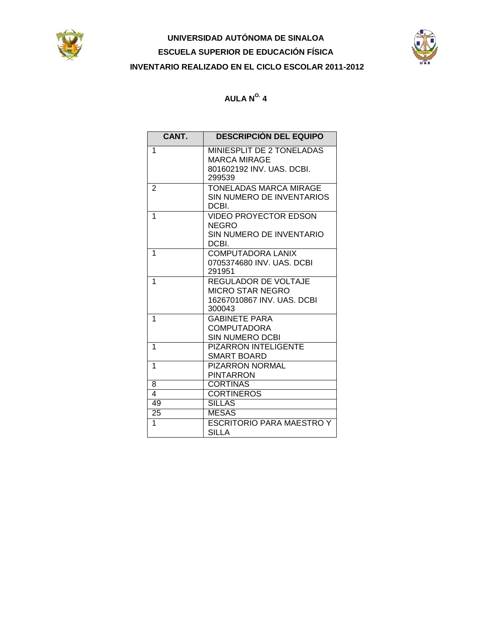



| CANT.                   | <b>DESCRIPCIÓN DEL EQUIPO</b>                                |
|-------------------------|--------------------------------------------------------------|
| 1                       | MINIESPLIT DE 2 TONELADAS<br><b>MARCA MIRAGE</b>             |
|                         | 801602192 INV. UAS. DCBI.<br>299539                          |
| $\overline{2}$          | TONELADAS MARCA MIRAGE<br>SIN NUMERO DE INVENTARIOS<br>DCBI. |
| 1                       | <b>VIDEO PROYECTOR EDSON</b><br><b>NEGRO</b>                 |
|                         | SIN NUMERO DE INVENTARIO<br>DCBI.                            |
| 1                       | <b>COMPUTADORA LANIX</b>                                     |
|                         | 0705374680 INV, UAS, DCBI<br>291951                          |
| 1                       | <b>REGULADOR DE VOLTAJE</b>                                  |
|                         | MICRO STAR NEGRO<br>16267010867 INV. UAS. DCBI               |
|                         | 300043                                                       |
| 1                       | <b>GABINETE PARA</b>                                         |
|                         | <b>COMPUTADORA</b><br>SIN NUMERO DCBI                        |
| 1                       | <b>PIZARRON INTELIGENTE</b>                                  |
|                         | <b>SMART BOARD</b>                                           |
| 1                       | <b>PIZARRON NORMAL</b>                                       |
|                         | <b>PINTARRON</b>                                             |
| 8                       | <b>CORTINAS</b>                                              |
| $\overline{\mathbf{4}}$ | <b>CORTINEROS</b>                                            |
| 49                      | <b>SILLAS</b>                                                |
| 25                      | <b>MESAS</b>                                                 |
| 1                       | <b>ESCRITORIO PARA MAESTRO Y</b>                             |
|                         | <b>SILLA</b>                                                 |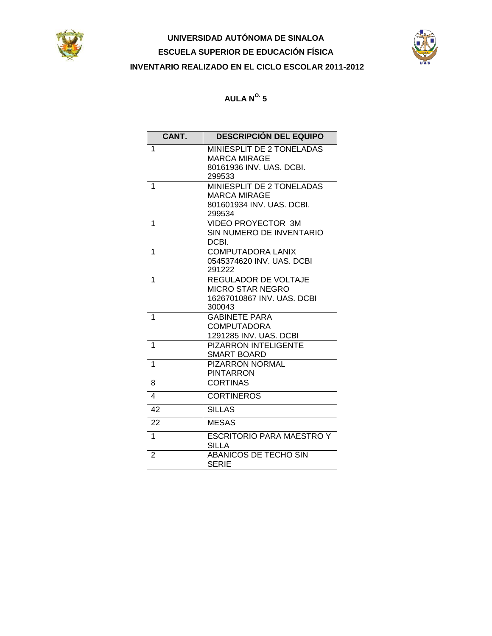



## $AULA N<sup>o.</sup> 5$

| CANT.          | <b>DESCRIPCIÓN DEL EQUIPO</b>                                                                  |
|----------------|------------------------------------------------------------------------------------------------|
| 1              | MINIESPLIT DE 2 TONELADAS<br><b>MARCA MIRAGE</b><br>80161936 INV. UAS. DCBI.                   |
|                | 299533                                                                                         |
| 1              | MINIESPLIT DE 2 TONELADAS<br><b>MARCA MIRAGE</b>                                               |
|                | 801601934 INV, UAS, DCBI,<br>299534                                                            |
| 1              | VIDEO PROYECTOR 3M<br>SIN NUMERO DE INVENTARIO<br>DCBI.                                        |
| 1              | <b>COMPUTADORA LANIX</b><br>0545374620 INV, UAS, DCBI<br>291222                                |
| 1              | <b>REGULADOR DE VOLTAJE</b><br><b>MICRO STAR NEGRO</b><br>16267010867 INV. UAS. DCBI<br>300043 |
| 1              | <b>GABINETE PARA</b><br>COMPUTADORA                                                            |
|                | 1291285 INV. UAS. DCBI                                                                         |
| 1              | <b>PIZARRON INTELIGENTE</b><br><b>SMART BOARD</b>                                              |
| 1              | <b>PIZARRON NORMAL</b><br><b>PINTARRON</b>                                                     |
| 8              | <b>CORTINAS</b>                                                                                |
| 4              | <b>CORTINEROS</b>                                                                              |
| 42             | <b>SILLAS</b>                                                                                  |
| 22             | <b>MESAS</b>                                                                                   |
| $\mathbf{1}$   | <b>ESCRITORIO PARA MAESTRO Y</b><br><b>SILLA</b>                                               |
| $\overline{2}$ | <b>ABANICOS DE TECHO SIN</b><br><b>SERIE</b>                                                   |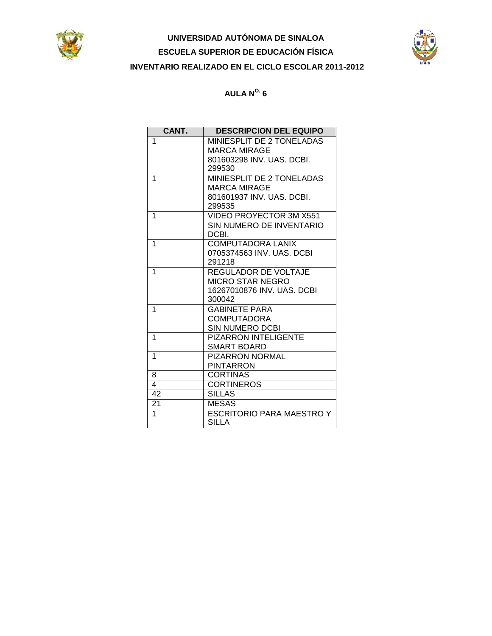



| CANT. | <b>DESCRIPCION DEL EQUIPO</b> |
|-------|-------------------------------|
| 1     | MINIESPLIT DE 2 TONELADAS     |
|       | MARCA MIRAGE                  |
|       | 801603298 INV. UAS. DCBI.     |
|       | 299530                        |
| 1     | MINIESPLIT DE 2 TONELADAS     |
|       | <b>MARCA MIRAGE</b>           |
|       | 801601937 INV. UAS. DCBI.     |
|       | 299535                        |
| 1     | VIDEO PROYECTOR 3M X551       |
|       | SIN NUMERO DE INVENTARIO      |
|       | DCBI.                         |
| 1     | <b>COMPUTADORA LANIX</b>      |
|       | 0705374563 INV, UAS, DCBI     |
|       | 291218                        |
| 1     | REGULADOR DE VOLTAJE          |
|       | MICRO STAR NEGRO              |
|       | 16267010876 INV, UAS, DCBI    |
|       | 300042                        |
| 1     | <b>GABINETE PARA</b>          |
|       | <b>COMPUTADORA</b>            |
|       | SIN NUMERO DCBI               |
| 1     | <b>PIZARRON INTELIGENTE</b>   |
|       | SMART BOARD                   |
| 1     | <b>PIZARRON NORMAL</b>        |
|       | <b>PINTARRON</b>              |
| 8     | <b>CORTINAS</b>               |
| 4     | <b>CORTINEROS</b>             |
| 42    | <b>SILLAS</b>                 |
| 21    | <b>MESAS</b>                  |
| 1     | ESCRITORIO PARA MAESTRO Y     |
|       | SILLA                         |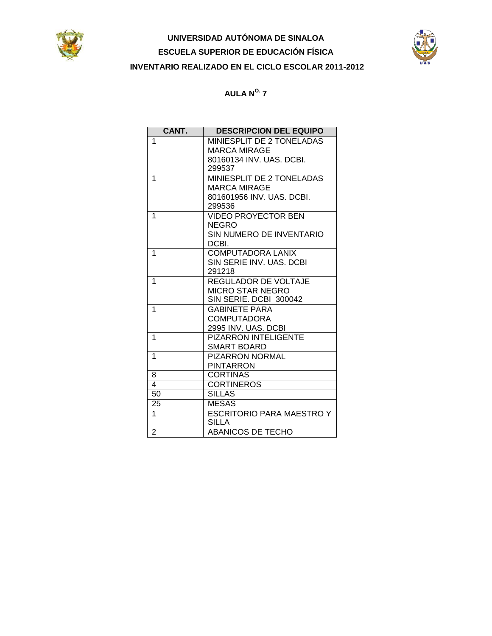



| CANT.           | <b>DESCRIPCION DEL EQUIPO</b>    |
|-----------------|----------------------------------|
| 1               | MINIESPLIT DE 2 TONELADAS        |
|                 | <b>MARCA MIRAGE</b>              |
|                 | 80160134 INV. UAS. DCBI.         |
|                 | 299537                           |
| 1               | <b>MINIESPLIT DE 2 TONELADAS</b> |
|                 | <b>MARCA MIRAGE</b>              |
|                 | 801601956 INV. UAS. DCBI.        |
|                 | 299536                           |
| 1               | <b>VIDEO PROYECTOR BEN</b>       |
|                 | <b>NEGRO</b>                     |
|                 | SIN NUMERO DE INVENTARIO         |
|                 | DCBI.                            |
| 1               | COMPUTADORA LANIX                |
|                 | SIN SERIE INV. UAS. DCBI         |
|                 | 291218                           |
| 1               | REGULADOR DE VOLTAJE             |
|                 | <b>MICRO STAR NEGRO</b>          |
|                 | SIN SERIE. DCBI 300042           |
| 1               | <b>GABINETE PARA</b>             |
|                 | <b>COMPUTADORA</b>               |
|                 | 2995 INV. UAS. DCBI              |
| 1               | <b>PIZARRON INTELIGENTE</b>      |
|                 | <b>SMART BOARD</b>               |
| 1               | <b>PIZARRON NORMAL</b>           |
|                 | <b>PINTARRON</b>                 |
| 8               | <b>CORTINAS</b>                  |
| 4               | <b>CORTINEROS</b>                |
| $\overline{50}$ | <b>SILLAS</b>                    |
| 25              | <b>MESAS</b>                     |
| 1               | <b>ESCRITORIO PARA MAESTRO Y</b> |
|                 | <b>SILLA</b>                     |
| $\overline{2}$  | <b>ABANICOS DE TECHO</b>         |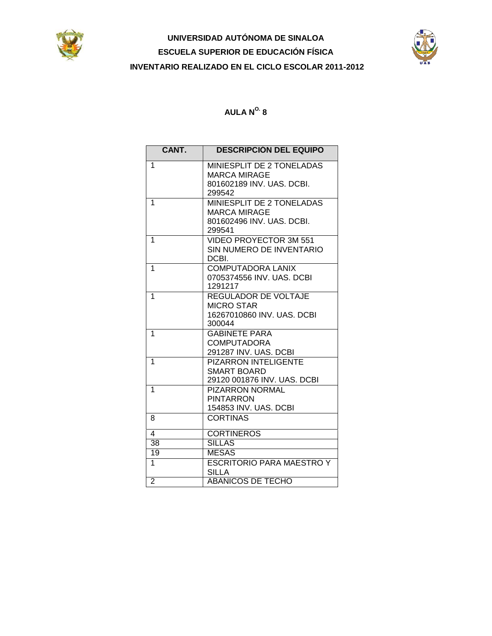



| CANT.                   | <b>DESCRIPCIÓN DEL EQUIPO</b>                    |
|-------------------------|--------------------------------------------------|
| $\mathbf{1}$            | MINIESPLIT DE 2 TONELADAS                        |
|                         | <b>MARCA MIRAGE</b>                              |
|                         | 801602189 INV, UAS, DCBI,                        |
|                         | 299542                                           |
| 1                       | MINIESPLIT DE 2 TONELADAS<br><b>MARCA MIRAGE</b> |
|                         | 801602496 INV, UAS, DCBI,                        |
|                         | 299541                                           |
| 1                       | VIDEO PROYECTOR 3M 551                           |
|                         | SIN NUMERO DE INVENTARIO                         |
|                         | DCBI.                                            |
| 1                       | <b>COMPUTADORA LANIX</b>                         |
|                         | 0705374556 INV. UAS. DCBI<br>1291217             |
| $\mathbf{1}$            | REGULADOR DE VOLTAJE                             |
|                         | <b>MICRO STAR</b>                                |
|                         | 16267010860 INV. UAS. DCBI                       |
|                         | 300044                                           |
| $\mathbf{1}$            | <b>GABINETE PARA</b>                             |
|                         | <b>COMPUTADORA</b>                               |
|                         | 291287 INV. UAS. DCBI                            |
| $\mathbf{1}$            | <b>PIZARRON INTELIGENTE</b>                      |
|                         | SMART BOARD<br>29120 001876 INV. UAS. DCBI       |
| 1                       | <b>PIZARRON NORMAL</b>                           |
|                         | <b>PINTARRON</b>                                 |
|                         | 154853 INV. UAS. DCBI                            |
| 8                       | <b>CORTINAS</b>                                  |
| $\overline{\mathbf{4}}$ | <b>CORTINEROS</b>                                |
| 38                      | <b>SILLAS</b>                                    |
| 19                      | <b>MESAS</b>                                     |
| $\overline{1}$          | <b>ESCRITORIO PARA MAESTRO Y</b>                 |
|                         | SILLA                                            |
| $\overline{2}$          | <b>ABANICOS DE TECHO</b>                         |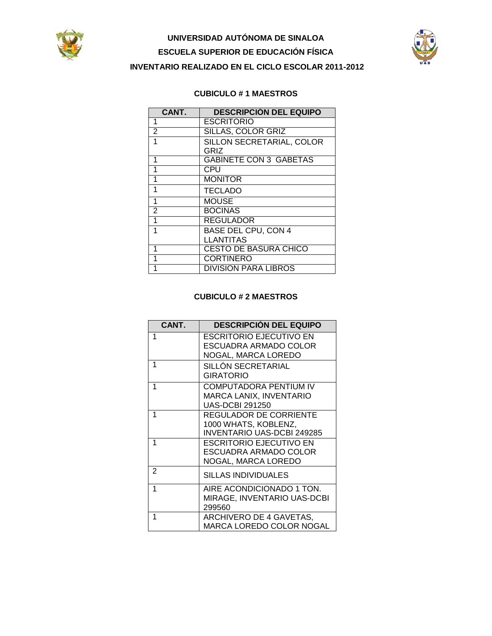



#### **CUBICULO # 1 MAESTROS**

| CANT.          | <b>DESCRIPCIÓN DEL EQUIPO</b> |
|----------------|-------------------------------|
| 1              | <b>ESCRITORIO</b>             |
| 2              | <b>SILLAS, COLOR GRIZ</b>     |
| 1              | SILLON SECRETARIAL, COLOR     |
|                | GRIZ                          |
| 1              | <b>GABINETE CON 3 GABETAS</b> |
| 1              | CPU                           |
| 1              | <b>MONITOR</b>                |
| 1              | <b>TECLADO</b>                |
| 1              | <b>MOUSE</b>                  |
| $\overline{2}$ | <b>BOCINAS</b>                |
| 1              | <b>REGULADOR</b>              |
| 1              | <b>BASE DEL CPU, CON 4</b>    |
|                | <b>LLANTITAS</b>              |
| 1              | <b>CESTO DE BASURA CHICO</b>  |
| 1              | <b>CORTINERO</b>              |
|                | <b>DIVISION PARA LIBROS</b>   |

### **CUBICULO # 2 MAESTROS**

| CANT. | <b>DESCRIPCIÓN DEL EQUIPO</b>                                                      |
|-------|------------------------------------------------------------------------------------|
| 1     | <b>ESCRITORIO EJECUTIVO EN</b><br>ESCUADRA ARMADO COLOR<br>NOGAL, MARCA LOREDO     |
| 1     | SILLÓN SECRETARIAL<br><b>GIRATORIO</b>                                             |
| 1     | <b>COMPUTADORA PENTIUM IV</b><br>MARCA LANIX, INVENTARIO<br><b>UAS-DCBI 291250</b> |
| 1     | REGULADOR DE CORRIENTE<br>1000 WHATS, KOBLENZ,<br>INVENTARIO UAS-DCBI 249285       |
| 1     | <b>ESCRITORIO EJECUTIVO EN</b><br>ESCUADRA ARMADO COLOR<br>NOGAL, MARCA LOREDO     |
| 2     | SILLAS INDIVIDUALES                                                                |
| 1     | AIRE ACONDICIONADO 1 TON.<br>MIRAGE, INVENTARIO UAS-DCBI<br>299560                 |
| 1     | ARCHIVERO DE 4 GAVETAS,<br>MARCA LOREDO COLOR NOGAL                                |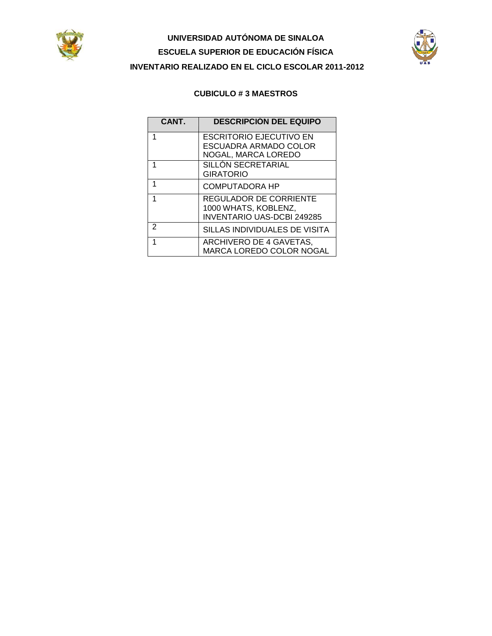



#### **CUBICULO # 3 MAESTROS**

| CANT. | <b>DESCRIPCIÓN DEL EQUIPO</b>                                                       |
|-------|-------------------------------------------------------------------------------------|
| 1     | <b>ESCRITORIO EJECUTIVO EN</b><br>ESCUADRA ARMADO COLOR                             |
|       | NOGAL, MARCA LOREDO                                                                 |
|       | SILLÓN SECRETARIAL<br><b>GIRATORIO</b>                                              |
| 1     | <b>COMPUTADORA HP</b>                                                               |
|       | REGULADOR DE CORRIENTE<br>1000 WHATS, KOBLENZ,<br><b>INVENTARIO UAS-DCBI 249285</b> |
| 2     | SILLAS INDIVIDUALES DE VISITA                                                       |
| 1     | ARCHIVERO DE 4 GAVETAS,<br>MARCA LOREDO COLOR NOGAL                                 |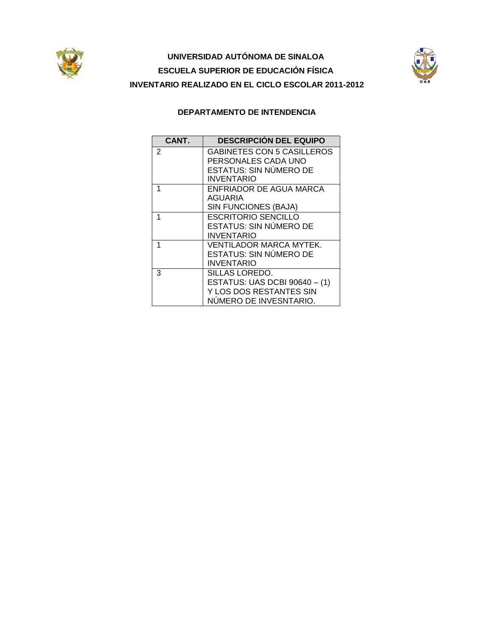



### **DEPARTAMENTO DE INTENDENCIA**

| CANT.          | <b>DESCRIPCIÓN DEL EQUIPO</b>     |
|----------------|-----------------------------------|
| $\overline{2}$ | <b>GABINETES CON 5 CASILLEROS</b> |
|                | PERSONALES CADA UNO               |
|                | ESTATUS: SIN NÚMERO DE            |
|                | <b>INVENTARIO</b>                 |
| 1              | ENFRIADOR DE AGUA MARCA           |
|                | AGUARIA                           |
|                | SIN FUNCIONES (BAJA)              |
| 1              | <b>ESCRITORIO SENCILLO</b>        |
|                | <b>ESTATUS: SIN NÚMERO DE</b>     |
|                | INVENTARIO                        |
| 1              | VENTILADOR MARCA MYTEK.           |
|                | <b>ESTATUS: SIN NÚMERO DE</b>     |
|                | INVENTARIO                        |
| 3              | SILLAS LOREDO.                    |
|                | ESTATUS: UAS DCBI 90640 - (1)     |
|                | Y LOS DOS RESTANTES SIN           |
|                | NÚMERO DE INVESNTARIO.            |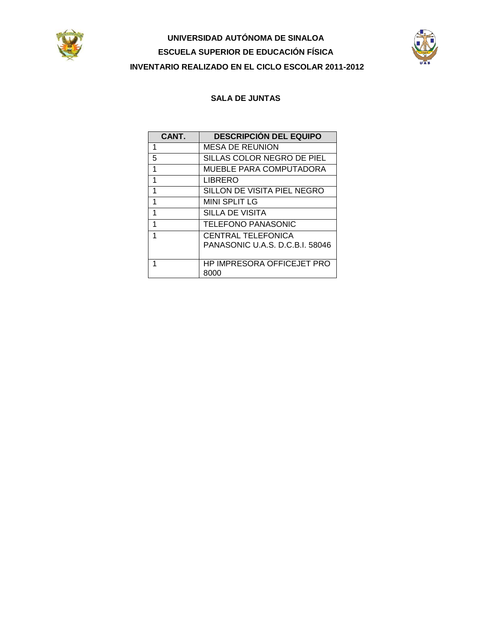



### **SALA DE JUNTAS**

| CANT. | <b>DESCRIPCIÓN DEL EQUIPO</b>                         |
|-------|-------------------------------------------------------|
| 1     | MESA DE REUNION                                       |
| 5     | SILLAS COLOR NEGRO DE PIEL                            |
| 1     | MUEBLE PARA COMPUTADORA                               |
| 1     | LIBRERO                                               |
| 1     | SILLON DE VISITA PIEL NEGRO                           |
| 1     | <b>MINI SPLIT LG</b>                                  |
| 1     | SILLA DE VISITA                                       |
| 1     | <b>TELEFONO PANASONIC</b>                             |
| 1     | CENTRAL TELEFONICA<br>PANASONIC U.A.S. D.C.B.I. 58046 |
|       |                                                       |
| 1     | HP IMPRESORA OFFICEJET PRO<br>8000                    |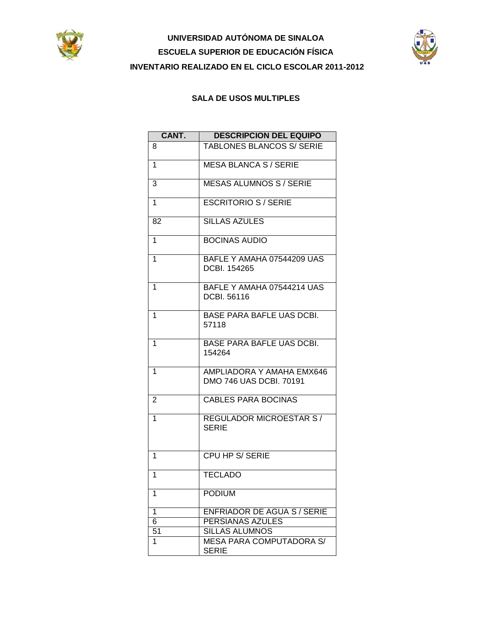



### **SALA DE USOS MULTIPLES**

| CANT.           | <b>DESCRIPCIÓN DEL EQUIPO</b>                        |
|-----------------|------------------------------------------------------|
| 8               | <b>TABLONES BLANCOS S/ SERIE</b>                     |
| 1               | <b>MESA BLANCA S / SERIE</b>                         |
| 3               | <b>MESAS ALUMNOS S / SERIE</b>                       |
| $\overline{1}$  | <b>ESCRITORIO S / SERIE</b>                          |
| 82              | <b>SILLAS AZULES</b>                                 |
| 1               | <b>BOCINAS AUDIO</b>                                 |
| $\mathbf{1}$    | BAFLE Y AMAHA 07544209 UAS<br>DCBI. 154265           |
| 1               | BAFLE Y AMAHA 07544214 UAS<br>DCBI, 56116            |
| 1               | <b>BASE PARA BAFLE UAS DCBI.</b><br>57118            |
| 1               | <b>BASE PARA BAFLE UAS DCBI.</b><br>154264           |
| 1               | AMPLIADORA Y AMAHA EMX646<br>DMO 746 UAS DCBI. 70191 |
| $\overline{2}$  | <b>CABLES PARA BOCINAS</b>                           |
| 1               | <b>REGULADOR MICROESTAR S/</b><br><b>SERIE</b>       |
| 1               | CPU HP S/SERIE                                       |
| 1               | <b>TECLADO</b>                                       |
| 1               | <b>PODIUM</b>                                        |
| $\overline{1}$  | <b>ENFRIADOR DE AGUA S / SERIE</b>                   |
| 6               | <b>PERSIANAS AZULES</b>                              |
| $\overline{51}$ | <b>SILLAS ALUMNOS</b>                                |
| 1               | <b>MESA PARA COMPUTADORA S/</b><br><b>SERIE</b>      |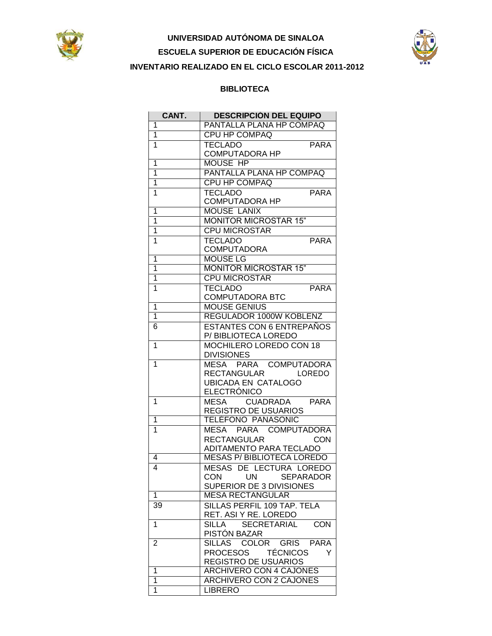



#### **BIBLIOTECA**

| CANT.                   | <b>DESCRIPCION DEL EQUIPO</b>             |
|-------------------------|-------------------------------------------|
| 1                       | PANTALLA PLANA HP COMPAQ                  |
| 1                       | <b>CPU HP COMPAQ</b>                      |
| 1                       | <b>TECLADO</b><br><b>PARA</b>             |
|                         | <b>COMPUTADORA HP</b>                     |
| 1                       | <b>MOUSE HP</b>                           |
| 1                       | PANTALLA PLANA HP COMPAQ                  |
| $\overline{1}$          | <b>CPU HP COMPAQ</b>                      |
| 1                       | <b>TECLADO</b><br><b>PARA</b>             |
|                         | <b>COMPUTADORA HP</b>                     |
| 1                       | <b>MOUSE LANIX</b>                        |
| $\overline{1}$          | <b>MONITOR MICROSTAR 15"</b>              |
| $\overline{1}$          | <b>CPU MICROSTAR</b>                      |
| 1                       | <b>TECLADO</b><br><b>PARA</b>             |
|                         | COMPUTADORA                               |
| 1                       | <b>MOUSE LG</b>                           |
| 1                       | <b>MONITOR MICROSTAR 15"</b>              |
| $\overline{\mathbf{1}}$ | <b>CPU MICROSTAR</b>                      |
| 1                       | <b>TECLADO</b><br><b>PARA</b>             |
|                         | <b>COMPUTADORA BTC</b>                    |
| 1                       | <b>MOUSE GENIUS</b>                       |
| $\overline{1}$          | REGULADOR 1000W KOBLENZ                   |
| 6                       | <b>ESTANTES CON 6 ENTREPAÑOS</b>          |
|                         | P/ BIBLIOTECA LOREDO                      |
| 1                       | MOCHILERO LOREDO CON 18                   |
|                         | <b>DIVISIONES</b>                         |
| $\mathbf{1}$            | MESA PARA COMPUTADORA                     |
|                         | <b>RECTANGULAR</b><br>LOREDO              |
|                         | <b>UBICADA EN CATALOGO</b>                |
|                         | ELECTRÓNICO                               |
| 1                       | CUADRADA PARA<br>MESA                     |
|                         | <b>REGISTRO DE USUARIOS</b>               |
| 1                       | <b>TELÉFONO PANASONIC</b>                 |
| 1                       | MESA PARA COMPUTADORA                     |
|                         | <b>RECTANGULAR</b><br><b>CON</b>          |
|                         | ADITAMENTO PARA TECLADO                   |
| 4                       | <b>MESAS P/BIBLIOTECA LOREDO</b>          |
| 4                       | MESAS DE LECTURA LOREDO                   |
|                         | CON<br>UN <b>NO</b><br><b>SEPARADOR</b>   |
|                         | SUPERIOR DE 3 DIVISIONES                  |
| 1                       | <b>MESA RECTANGULAR</b>                   |
| 39                      | SILLAS PERFIL 109 TAP. TELA               |
|                         | RET. ASI Y RE. LOREDO                     |
| 1                       | <b>SECRETARIAL</b><br><b>CON</b><br>SILLA |
|                         | PISTÓN BAZAR                              |
| 2                       | SILLAS COLOR GRIS PARA                    |
|                         | PROCESOS TÉCNICOS<br>Y                    |
|                         | <b>REGISTRO DE USUARIOS</b>               |
| 1                       | <b>ARCHIVERO CON 4 CAJONES</b>            |
| 1                       | <b>ARCHIVERO CON 2 CAJONES</b>            |
| 1                       | <b>LIBRERO</b>                            |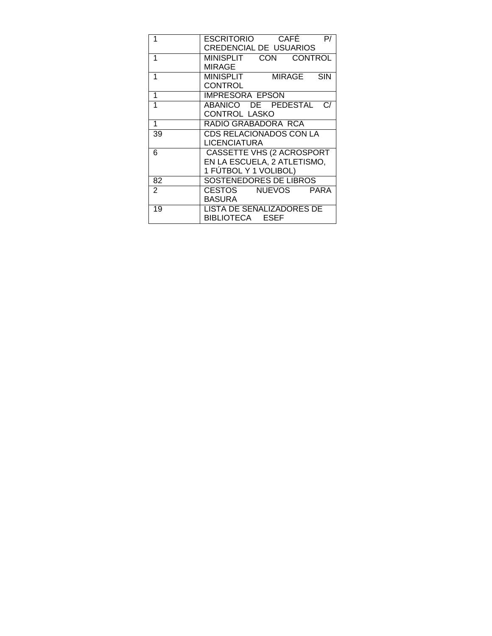|                | $CAFE$ $P/$<br><b>ESCRITORIO</b> |
|----------------|----------------------------------|
|                | <b>CREDENCIAL DE USUARIOS</b>    |
| 1              | MINISPLIT CON CONTROL            |
|                | <b>MIRAGE</b>                    |
| 1              | MINISPLIT MIRAGE SIN             |
|                | <b>CONTROL</b>                   |
| 1              | <b>IMPRESORA EPSON</b>           |
| 1              | ABANICO DE PEDESTAL C/           |
|                | CONTROL LASKO                    |
| 1              | RADIO GRABADORA RCA              |
| 39             | CDS RELACIONADOS CON LA          |
|                | <b>LICENCIATURA</b>              |
| 6              | CASSETTE VHS (2 ACROSPORT        |
|                | EN LA ESCUELA, 2 ATLETISMO,      |
|                | 1 FÚTBOL Y 1 VOLIBOL)            |
| 82             | <b>SOSTENEDORES DE LIBROS</b>    |
| $\overline{2}$ | CESTOS NUEVOS<br><b>PARA</b>     |
|                | <b>BASURA</b>                    |
| 19             | LISTA DE SEÑALIZADORES DE        |
|                | BIBLIOTECA ESEF                  |